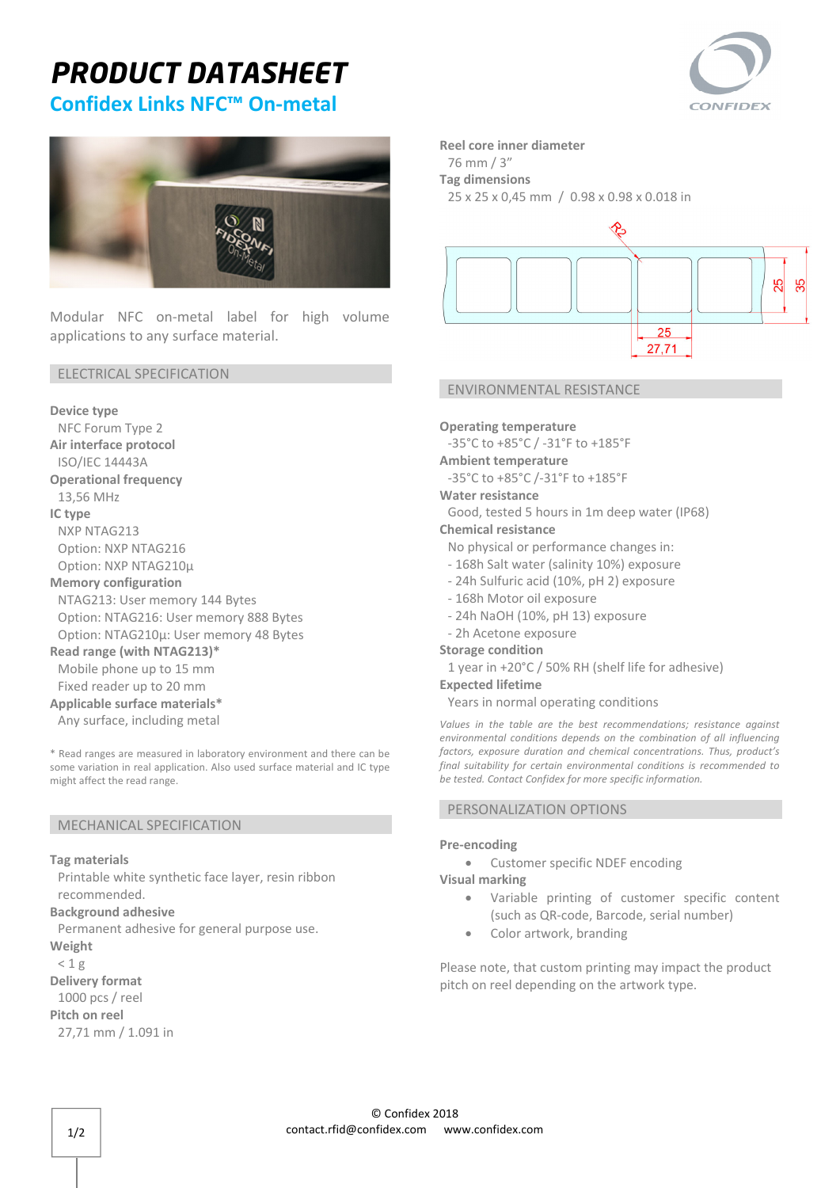# *PRODUCT DATASHEET*



## **Confidex Links NFC™ On‐metal**



Modular NFC on‐metal label for high volume applications to any surface material.

#### ELECTRICAL SPECIFICATION

**Device type** 

NFC Forum Type 2 **Air interface protocol** 

ISO/IEC 14443A

**Operational frequency**

13,56 MHz **IC type** 

NXP NTAG213 Option: NXP NTAG216 Option: NXP NTAG210µ

### **Memory configuration**

NTAG213: User memory 144 Bytes Option: NTAG216: User memory 888 Bytes Option: NTAG210µ: User memory 48 Bytes

#### **Read range (with NTAG213)\***

Mobile phone up to 15 mm Fixed reader up to 20 mm

### **Applicable surface materials\***

Any surface, including metal

\* Read ranges are measured in laboratory environment and there can be some variation in real application. Also used surface material and IC type might affect the read range.

#### MECHANICAL SPECIFICATION

#### **Tag materials**

Printable white synthetic face layer, resin ribbon recommended.

**Background adhesive**

Permanent adhesive for general purpose use.

**Weight**

 $< 1 g$ 

**Delivery format** 1000 pcs / reel

**Pitch on reel**

27,71 mm / 1.091 in

**Reel core inner diameter**

76 mm / 3"

**Tag dimensions** 

25 x 25 x 0,45 mm / 0.98 x 0.98 x 0.018 in



#### ENVIRONMENTAL RESISTANCE

**Operating temperature**

‐35°C to +85°C / ‐31°F to +185°F

- **Ambient temperature**
- ‐35°C to +85°C /‐31°F to +185°F

#### **Water resistance**

Good, tested 5 hours in 1m deep water (IP68)

**Chemical resistance**

No physical or performance changes in:

- ‐ 168h Salt water (salinity 10%) exposure
- ‐ 24h Sulfuric acid (10%, pH 2) exposure
- ‐ 168h Motor oil exposure
- ‐ 24h NaOH (10%, pH 13) exposure
- ‐ 2h Acetone exposure

#### **Storage condition**

1 year in +20°C / 50% RH (shelf life for adhesive)

### **Expected lifetime**

Years in normal operating conditions

*Values in the table are the best recommendations; resistance against environmental conditions depends on the combination of all influencing factors, exposure duration and chemical concentrations. Thus, product's final suitability for certain environmental conditions is recommended to be tested. Contact Confidex for more specific information.* 

#### PERSONALIZATION OPTIONS

#### **Pre‐encoding**

 Customer specific NDEF encoding **Visual marking** 

- Variable printing of customer specific content (such as QR‐code, Barcode, serial number)
- Color artwork, branding

Please note, that custom printing may impact the product pitch on reel depending on the artwork type.